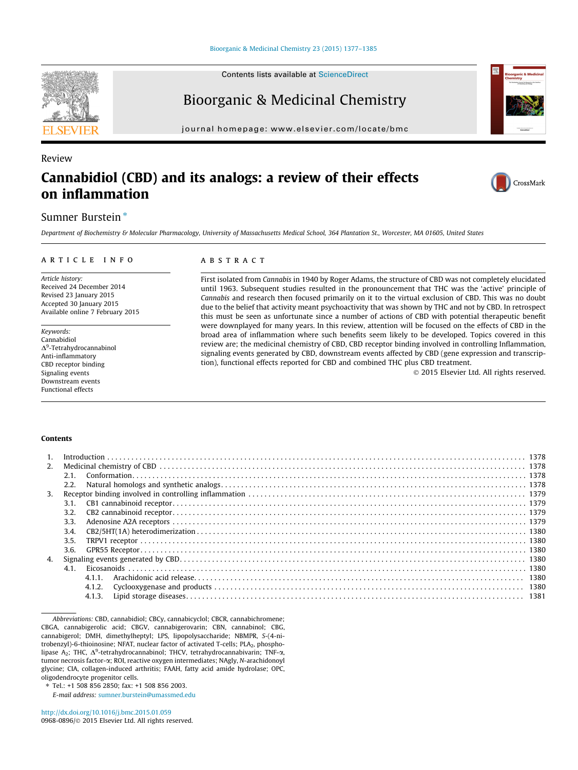

Review

Contents lists available at [ScienceDirect](http://www.sciencedirect.com/science/journal/09680896)

# Bioorganic & Medicinal Chemistry

journal homepage: [www.elsevier.com/locate/bmc](http://www.elsevier.com/locate/bmc)

# Cannabidiol (CBD) and its analogs: a review of their effects on inflammation



# Sumner Burstein<sup>\*</sup>

Department of Biochemistry & Molecular Pharmacology, University of Massachusetts Medical School, 364 Plantation St., Worcester, MA 01605, United States

#### article info

Article history: Received 24 December 2014 Revised 23 January 2015 Accepted 30 January 2015 Available online 7 February 2015

Keywords: Cannabidiol  $\Delta^9$ -Tetrahydrocannabinol Anti-inflammatory CBD receptor binding Signaling events Downstream events Functional effects

## ABSTRACT

First isolated from Cannabis in 1940 by Roger Adams, the structure of CBD was not completely elucidated until 1963. Subsequent studies resulted in the pronouncement that THC was the 'active' principle of Cannabis and research then focused primarily on it to the virtual exclusion of CBD. This was no doubt due to the belief that activity meant psychoactivity that was shown by THC and not by CBD. In retrospect this must be seen as unfortunate since a number of actions of CBD with potential therapeutic benefit were downplayed for many years. In this review, attention will be focused on the effects of CBD in the broad area of inflammation where such benefits seem likely to be developed. Topics covered in this review are; the medicinal chemistry of CBD, CBD receptor binding involved in controlling Inflammation, signaling events generated by CBD, downstream events affected by CBD (gene expression and transcription), functional effects reported for CBD and combined THC plus CBD treatment.

- 2015 Elsevier Ltd. All rights reserved.

#### **Contents**

| 2.               |      |        |  |
|------------------|------|--------|--|
|                  | 2.1  |        |  |
|                  | 2.2. |        |  |
| 3.               |      |        |  |
|                  | 3.1. |        |  |
|                  | 3.2. |        |  |
|                  | 3.3. |        |  |
|                  | 3.4. |        |  |
|                  | 3.5. |        |  |
|                  | 3.6. |        |  |
| $\overline{4}$ . |      |        |  |
|                  |      |        |  |
|                  |      | 4.1.1  |  |
|                  |      | 4.1.2. |  |
|                  |      |        |  |
|                  |      |        |  |

E-mail address: [sumner.burstein@umassmed.edu](mailto:sumner.burstein@umassmed.edu)

Abbreviations: CBD, cannabidiol; CBCy, cannabicyclol; CBCR, cannabichromene; CBGA, cannabigerolic acid; CBGV, cannabigerovarin; CBN, cannabinol; CBG, cannabigerol; DMH, dimethylheptyl; LPS, lipopolysaccharide; NBMPR, S-(4-nitrobenzyl)-6-thioinosine; NFAT, nuclear factor of activated T-cells; PLA<sub>2</sub>, phospholipase  $A_2$ ; THC,  $\Delta^9$ -tetrahydrocannabinol; THCV, tetrahydrocannabivarin; TNF- $\alpha$ , tumor necrosis factor-a; ROI, reactive oxygen intermediates; NAgly, N-arachidonoyl glycine; CIA, collagen-induced arthritis; FAAH, fatty acid amide hydrolase; OPC, oligodendrocyte progenitor cells.

Tel.: +1 508 856 2850; fax: +1 508 856 2003.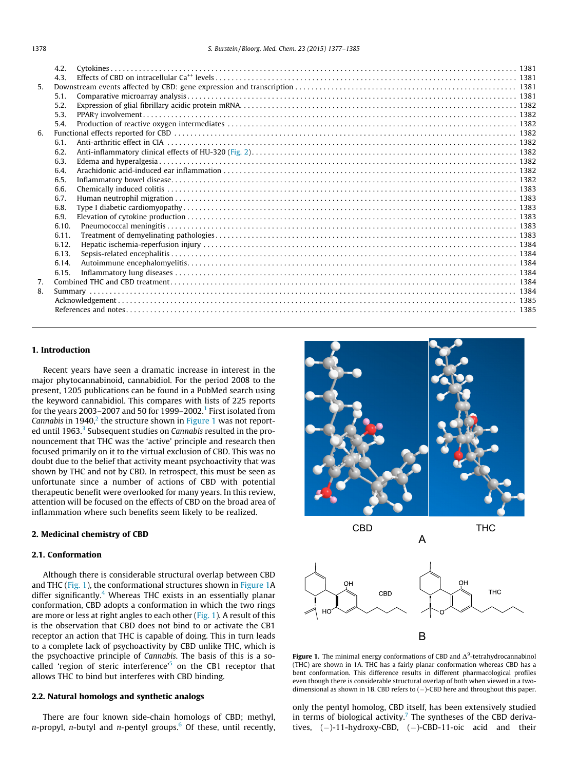<span id="page-1-0"></span>

|                | 4.2.  |  |
|----------------|-------|--|
|                | 4.3.  |  |
| 5 <sub>1</sub> |       |  |
|                | 5.1.  |  |
|                | 5.2.  |  |
|                | 5.3.  |  |
|                | 5.4.  |  |
| 6.             |       |  |
|                | 6.1.  |  |
|                | 6.2.  |  |
|                | 6.3.  |  |
|                | 6.4.  |  |
|                | 6.5.  |  |
|                | 6.6.  |  |
|                | 6.7.  |  |
|                | 6.8.  |  |
|                | 6.9.  |  |
|                | 6.10. |  |
|                | 6.11. |  |
|                | 6.12. |  |
|                | 6.13. |  |
|                | 6.14. |  |
|                | 6.15. |  |
| 7.             |       |  |
| 8.             |       |  |
|                |       |  |
|                |       |  |

# 1. Introduction

Recent years have seen a dramatic increase in interest in the major phytocannabinoid, cannabidiol. For the period 2008 to the present, 1205 publications can be found in a PubMed search using the keyword cannabidiol. This compares with lists of 225 reports for the years 2003–2007 and 50 for 1999–2002.<sup>1</sup> First isolated from Cannabis in  $1940<sup>2</sup>$ , the structure shown in Figure 1 was not report-ed until 196[3](#page-8-0).<sup>3</sup> Subsequent studies on Cannabis resulted in the pronouncement that THC was the 'active' principle and research then focused primarily on it to the virtual exclusion of CBD. This was no doubt due to the belief that activity meant psychoactivity that was shown by THC and not by CBD. In retrospect, this must be seen as unfortunate since a number of actions of CBD with potential therapeutic benefit were overlooked for many years. In this review, attention will be focused on the effects of CBD on the broad area of inflammation where such benefits seem likely to be realized.

### 2. Medicinal chemistry of CBD

#### 2.1. Conformation

Although there is considerable structural overlap between CBD and THC (Fig. 1), the conformational structures shown in Figure 1A differ significantly. $4$  Whereas THC exists in an essentially planar conformation, CBD adopts a conformation in which the two rings are more or less at right angles to each other (Fig. 1). A result of this is the observation that CBD does not bind to or activate the CB1 receptor an action that THC is capable of doing. This in turn leads to a complete lack of psychoactivity by CBD unlike THC, which is the psychoactive principle of Cannabis. The basis of this is a socalled 'region of steric interference'<sup>5</sup> on the CB1 receptor that allows THC to bind but interferes with CBD binding.

#### 2.2. Natural homologs and synthetic analogs

There are four known side-chain homologs of CBD; methyl,  $n$ -propyl,  $n$ -butyl and  $n$ -pentyl groups.<sup>6</sup> Of these, until recently,





CBD THC



A

Figure 1. The minimal energy conformations of CBD and  $\Delta^9$ -tetrahydrocannabinol (THC) are shown in 1A. THC has a fairly planar conformation whereas CBD has a bent conformation. This difference results in different pharmacological profiles even though there is considerable structural overlap of both when viewed in a twodimensional as shown in 1B. CBD refers to  $(-)$ -CBD here and throughout this paper.

only the pentyl homolog, CBD itself, has been extensively studied in terms of biological activity.<sup>7</sup> The syntheses of the CBD derivatives,  $(-)$ -11-hydroxy-CBD,  $(-)$ -CBD-11-oic acid and their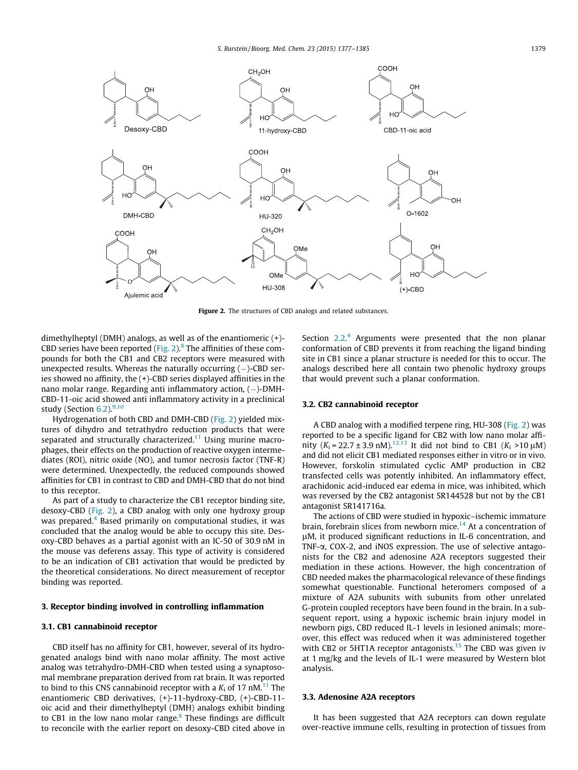<span id="page-2-0"></span>

Figure 2. The structures of CBD analogs and related substances.

dimethylheptyl (DMH) analogs, as well as of the enantiomeric (+)- CBD series have been reported (Fig. 2). $8$  The affinities of these compounds for both the CB1 and CB2 receptors were measured with unexpected results. Whereas the naturally occurring  $(-)$ -CBD series showed no affinity, the (+)-CBD series displayed affinities in the nano molar range. Regarding anti inflammatory action, ( – )-DMH-CBD-11-oic acid showed anti inflammatory activity in a preclinical study (Section  $6.2$ ). $9,10$ 

Hydrogenation of both CBD and DMH-CBD (Fig. 2) yielded mixtures of dihydro and tetrathydro reduction products that were separated and structurally characterized.<sup>11</sup> Using murine macrophages, their effects on the production of reactive oxygen intermediates (ROI), nitric oxide (NO), and tumor necrosis factor (TNF-R) were determined. Unexpectedly, the reduced compounds showed affinities for CB1 in contrast to CBD and DMH-CBD that do not bind to this receptor.

As part of a study to characterize the CB1 receptor binding site, desoxy-CBD (Fig. 2), a CBD analog with only one hydroxy group was prepared.<sup>[4](#page-8-0)</sup> Based primarily on computational studies, it was concluded that the analog would be able to occupy this site. Desoxy-CBD behaves as a partial agonist with an IC-50 of 30.9 nM in the mouse vas deferens assay. This type of activity is considered to be an indication of CB1 activation that would be predicted by the theoretical considerations. No direct measurement of receptor binding was reported.

# 3. Receptor binding involved in controlling inflammation

# 3.1. CB1 cannabinoid receptor

CBD itself has no affinity for CB1, however, several of its hydrogenated analogs bind with nano molar affinity. The most active analog was tetrahydro-DMH-CBD when tested using a synaptosomal membrane preparation derived from rat brain. It was reported to bind to this CNS cannabinoid receptor with a  $K_i$  of 17 nM.<sup>11</sup> The enantiomeric CBD derivatives, (+)-11-hydroxy-CBD, (+)-CBD-11 oic acid and their dimethylheptyl (DMH) analogs exhibit binding to CB1 in the low nano molar range. $8$  These findings are difficult to reconcile with the earlier report on desoxy-CBD cited above in

Section  $2.2$ .<sup>[4](#page-8-0)</sup> Arguments were presented that the non planar conformation of CBD prevents it from reaching the ligand binding site in CB1 since a planar structure is needed for this to occur. The analogs described here all contain two phenolic hydroxy groups that would prevent such a planar conformation.

#### 3.2. CB2 cannabinoid receptor

A CBD analog with a modified terpene ring, HU-308 (Fig. 2) was reported to be a specific ligand for CB2 with low nano molar affinity  $(K_i = 22.7 \pm 3.9 \text{ nM})$ .<sup>[12,13](#page-8-0)</sup> It did not bind to CB1  $(K_i > 10 \text{ µM})$ and did not elicit CB1 mediated responses either in vitro or in vivo. However, forskolin stimulated cyclic AMP production in CB2 transfected cells was potently inhibited. An inflammatory effect, arachidonic acid-induced ear edema in mice, was inhibited, which was reversed by the CB2 antagonist SR144528 but not by the CB1 antagonist SR141716a.

The actions of CBD were studied in hypoxic–ischemic immature brain, forebrain slices from newborn mice.<sup>14</sup> At a concentration of lM, it produced significant reductions in IL-6 concentration, and TNF- $\alpha$ , COX-2, and iNOS expression. The use of selective antagonists for the CB2 and adenosine A2A receptors suggested their mediation in these actions. However, the high concentration of CBD needed makes the pharmacological relevance of these findings somewhat questionable. Functional heteromers composed of a mixture of A2A subunits with subunits from other unrelated G-protein coupled receptors have been found in the brain. In a subsequent report, using a hypoxic ischemic brain injury model in newborn pigs, CBD reduced IL-1 levels in lesioned animals; moreover, this effect was reduced when it was administered together with CB2 or 5HT1A receptor antagonists.<sup>[15](#page-8-0)</sup> The CBD was given iv at 1 mg/kg and the levels of IL-1 were measured by Western blot analysis.

#### 3.3. Adenosine A2A receptors

It has been suggested that A2A receptors can down regulate over-reactive immune cells, resulting in protection of tissues from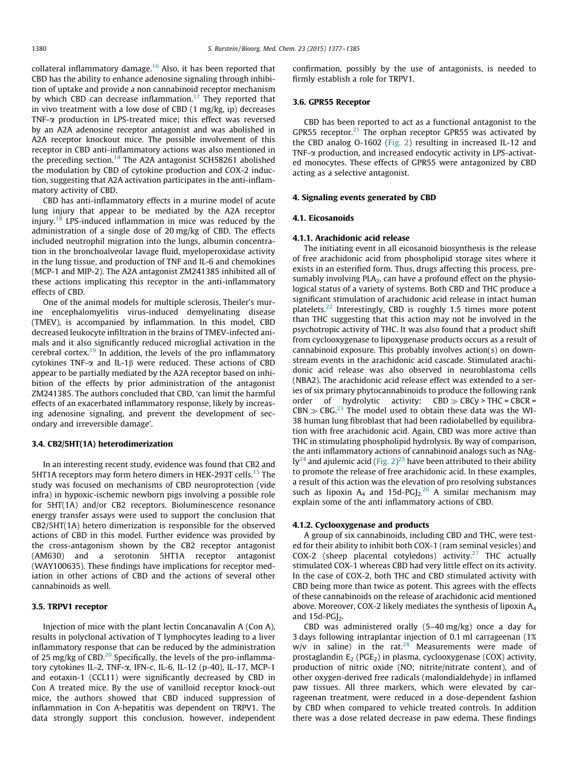collateral inflammatory damage.<sup>[16](#page-8-0)</sup> Also, it has been reported that CBD has the ability to enhance adenosine signaling through inhibition of uptake and provide a non cannabinoid receptor mechanism by which CBD can decrease inflammation.<sup>17</sup> They reported that in vivo treatment with a low dose of CBD (1 mg/kg, ip) decreases TNF- $\alpha$  production in LPS-treated mice; this effect was reversed by an A2A adenosine receptor antagonist and was abolished in A2A receptor knockout mice. The possible involvement of this receptor in CBD anti-inflammatory actions was also mentioned in the preceding section.<sup>14</sup> The A2A antagonist SCH58261 abolished the modulation by CBD of cytokine production and COX-2 induction, suggesting that A2A activation participates in the anti-inflammatory activity of CBD.

CBD has anti-inflammatory effects in a murine model of acute lung injury that appear to be mediated by the A2A receptor injury.<sup>18</sup> LPS-induced inflammation in mice was reduced by the administration of a single dose of 20 mg/kg of CBD. The effects included neutrophil migration into the lungs, albumin concentration in the bronchoalveolar lavage fluid, myeloperoxidase activity in the lung tissue, and production of TNF and IL-6 and chemokines (MCP-1 and MIP-2). The A2A antagonist ZM241385 inhibited all of these actions implicating this receptor in the anti-inflammatory effects of CBD.

One of the animal models for multiple sclerosis, Theiler's murine encephalomyelitis virus-induced demyelinating disease (TMEV), is accompanied by inflammation. In this model, CBD decreased leukocyte infiltration in the brains of TMEV-infected animals and it also significantly reduced microglial activation in the cerebral cortex.<sup>19</sup> In addition, the levels of the pro inflammatory cytokines TNF- $\alpha$  and IL-1 $\beta$  were reduced. These actions of CBD appear to be partially mediated by the A2A receptor based on inhibition of the effects by prior administration of the antagonist ZM241385. The authors concluded that CBD, 'can limit the harmful effects of an exacerbated inflammatory response, likely by increasing adenosine signaling, and prevent the development of secondary and irreversible damage'.

#### 3.4. CB2/5HT(1A) heterodimerization

In an interesting recent study, evidence was found that CB2 and 5HT1A receptors may form hetero dimers in HEK-293T cells.<sup>[15](#page-8-0)</sup> The study was focused on mechanisms of CBD neuroprotection (vide infra) in hypoxic-ischemic newborn pigs involving a possible role for 5HT(1A) and/or CB2 receptors. Bioluminescence resonance energy transfer assays were used to support the conclusion that CB2/5HT(1A) hetero dimerization is responsible for the observed actions of CBD in this model. Further evidence was provided by the cross-antagonism shown by the CB2 receptor antagonist (AM630) and a serotonin 5HT1A receptor antagonist (WAY100635). These findings have implications for receptor mediation in other actions of CBD and the actions of several other cannabinoids as well.

# 3.5. TRPV1 receptor

Injection of mice with the plant lectin Concanavalin A (Con A), results in polyclonal activation of T lymphocytes leading to a liver inflammatory response that can be reduced by the administration of 25 mg/kg of CBD.<sup>20</sup> Specifically, the levels of the pro-inflammatory cytokines IL-2, TNF-a, IFN-c, IL-6, IL-12 (p-40), IL-17, MCP-1 and eotaxin-1 (CCL11) were significantly decreased by CBD in Con A treated mice. By the use of vanilloid receptor knock-out mice, the authors showed that CBD induced suppression of inflammation in Con A-hepatitis was dependent on TRPV1. The data strongly support this conclusion, however, independent confirmation, possibly by the use of antagonists, is needed to firmly establish a role for TRPV1.

#### 3.6. GPR55 Receptor

CBD has been reported to act as a functional antagonist to the GPR55 receptor. $21$  The orphan receptor GPR55 was activated by the CBD analog O-1602 [\(Fig. 2\)](#page-2-0) resulting in increased IL-12 and TNF-a production, and increased endocytic activity in LPS-activated monocytes. These effects of GPR55 were antagonized by CBD acting as a selective antagonist.

#### 4. Signaling events generated by CBD

#### 4.1. Eicosanoids

#### 4.1.1. Arachidonic acid release

The initiating event in all eicosanoid biosynthesis is the release of free arachidonic acid from phospholipid storage sites where it exists in an esterified form. Thus, drugs affecting this process, presumably involving  $PLA_2$ , can have a profound effect on the physiological status of a variety of systems. Both CBD and THC produce a significant stimulation of arachidonic acid release in intact human platelets[.22](#page-8-0) Interestingly, CBD is roughly 1.5 times more potent than THC suggesting that this action may not be involved in the psychotropic activity of THC. It was also found that a product shift from cyclooxygenase to lipoxygenase products occurs as a result of cannabinoid exposure. This probably involves action(s) on downstream events in the arachidonic acid cascade. Stimulated arachidonic acid release was also observed in neuroblastoma cells (NBA2). The arachidonic acid release effect was extended to a series of six primary phytocannabinoids to produce the following rank order of hydrolytic activity:  $CBD \gg CBC$  > THC = CBCR =  $CBN \gg CBG.<sup>23</sup>$  The model used to obtain these data was the WI-38 human lung fibroblast that had been radiolabelled by equilibration with free arachidonic acid. Again, CBD was more active than THC in stimulating phospholipid hydrolysis. By way of comparison, the anti inflammatory actions of cannabinoid analogs such as NAg-ly<sup>[24](#page-8-0)</sup> and ajulemic acid [\(Fig. 2\)](#page-2-0)<sup>[25](#page-8-0)</sup> have been attributed to their ability to promote the release of free arachidonic acid. In these examples, a result of this action was the elevation of pro resolving substances such as lipoxin  $A_4$  and 15d-PGJ<sub>2.</sub><sup>[26](#page-8-0)</sup> A similar mechanism may explain some of the anti inflammatory actions of CBD.

#### 4.1.2. Cyclooxygenase and products

A group of six cannabinoids, including CBD and THC, were tested for their ability to inhibit both COX-1 (ram seminal vesicles) and COX-2 (sheep placental cotyledons) activity.<sup>[27](#page-8-0)</sup> THC actually stimulated COX-1 whereas CBD had very little effect on its activity. In the case of COX-2, both THC and CBD stimulated activity with CBD being more than twice as potent. This agrees with the effects of these cannabinoids on the release of arachidonic acid mentioned above. Moreover, COX-2 likely mediates the synthesis of lipoxin  $A_4$ and  $15d$ -PGJ<sub>2</sub>.

CBD was administered orally (5–40 mg/kg) once a day for 3 days following intraplantar injection of 0.1 ml carrageenan (1%  $w/v$  in saline) in the rat.<sup>28</sup> Measurements were made of prostaglandin  $E_2$  (PGE<sub>2</sub>) in plasma, cyclooxygenase (COX) activity, production of nitric oxide (NO; nitrite/nitrate content), and of other oxygen-derived free radicals (malondialdehyde) in inflamed paw tissues. All three markers, which were elevated by carrageenan treatment, were reduced in a dose-dependent fashion by CBD when compared to vehicle treated controls. In addition there was a dose related decrease in paw edema. These findings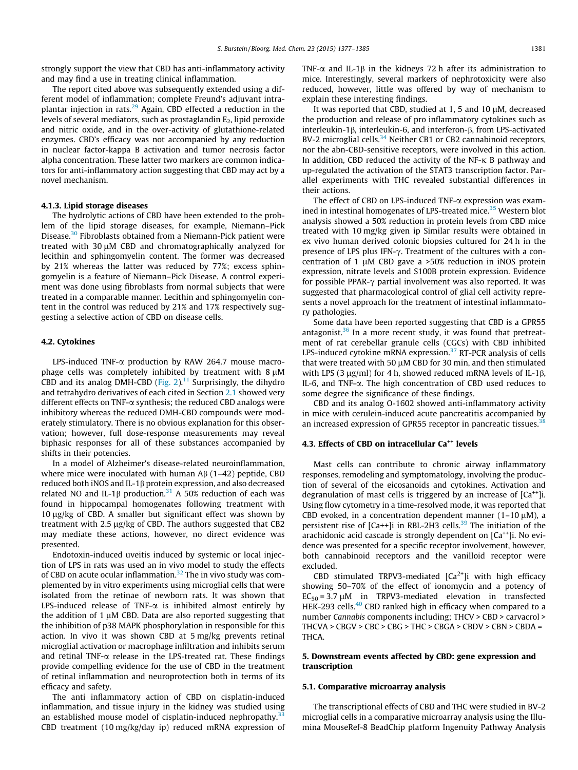strongly support the view that CBD has anti-inflammatory activity and may find a use in treating clinical inflammation.

The report cited above was subsequently extended using a different model of inflammation; complete Freund's adjuvant intraplantar injection in rats. $29$  Again, CBD effected a reduction in the levels of several mediators, such as prostaglandin  $E_2$ , lipid peroxide and nitric oxide, and in the over-activity of glutathione-related enzymes. CBD's efficacy was not accompanied by any reduction in nuclear factor-kappa B activation and tumor necrosis factor alpha concentration. These latter two markers are common indicators for anti-inflammatory action suggesting that CBD may act by a novel mechanism.

#### 4.1.3. Lipid storage diseases

The hydrolytic actions of CBD have been extended to the problem of the lipid storage diseases, for example, Niemann–Pick Disease.[30](#page-8-0) Fibroblasts obtained from a Niemann-Pick patient were treated with 30  $\mu$ M CBD and chromatographically analyzed for lecithin and sphingomyelin content. The former was decreased by 21% whereas the latter was reduced by 77%; excess sphingomyelin is a feature of Niemann–Pick Disease. A control experiment was done using fibroblasts from normal subjects that were treated in a comparable manner. Lecithin and sphingomyelin content in the control was reduced by 21% and 17% respectively suggesting a selective action of CBD on disease cells.

#### 4.2. Cytokines

LPS-induced TNF-a production by RAW 264.7 mouse macrophage cells was completely inhibited by treatment with  $8 \mu M$ CBD and its analog DMH-CBD (Fig.  $2$ ).<sup>[11](#page-8-0)</sup> Surprisingly, the dihydro and tetrahydro derivatives of each cited in Section [2.1](#page-1-0) showed very different effects on TNF-a synthesis; the reduced CBD analogs were inhibitory whereas the reduced DMH-CBD compounds were moderately stimulatory. There is no obvious explanation for this observation; however, full dose-response measurements may reveal biphasic responses for all of these substances accompanied by shifts in their potencies.

In a model of Alzheimer's disease-related neuroinflammation, where mice were inoculated with human  $\text{AB}(1-42)$  peptide, CBD reduced both iNOS and IL-1 $\beta$  protein expression, and also decreased related NO and IL-1 $\beta$  production.<sup>[31](#page-8-0)</sup> A 50% reduction of each was found in hippocampal homogenates following treatment with  $10 \mu g/kg$  of CBD. A smaller but significant effect was shown by treatment with 2.5 µg/kg of CBD. The authors suggested that CB2 may mediate these actions, however, no direct evidence was presented.

Endotoxin-induced uveitis induced by systemic or local injection of LPS in rats was used an in vivo model to study the effects of CBD on acute ocular inflammation.<sup>[32](#page-8-0)</sup> The in vivo study was complemented by in vitro experiments using microglial cells that were isolated from the retinae of newborn rats. It was shown that LPS-induced release of TNF- $\alpha$  is inhibited almost entirely by the addition of 1  $\mu$ M CBD. Data are also reported suggesting that the inhibition of p38 MAPK phosphorylation in responsible for this action. In vivo it was shown CBD at 5 mg/kg prevents retinal microglial activation or macrophage infiltration and inhibits serum and retinal TNF- $\alpha$  release in the LPS-treated rat. These findings provide compelling evidence for the use of CBD in the treatment of retinal inflammation and neuroprotection both in terms of its efficacy and safety.

The anti inflammatory action of CBD on cisplatin-induced inflammation, and tissue injury in the kidney was studied using an established mouse model of cisplatin-induced nephropathy. $33$ CBD treatment (10 mg/kg/day ip) reduced mRNA expression of TNF- $\alpha$  and IL-18 in the kidneys 72 h after its administration to mice. Interestingly, several markers of nephrotoxicity were also reduced, however, little was offered by way of mechanism to explain these interesting findings.

It was reported that CBD, studied at 1, 5 and 10  $\mu$ M, decreased the production and release of pro inflammatory cytokines such as interleukin-1β, interleukin-6, and interferon-β, from LPS-activated BV-2 microglial cells.<sup>[34](#page-8-0)</sup> Neither CB1 or CB2 cannabinoid receptors, nor the abn-CBD-sensitive receptors, were involved in this action. In addition, CBD reduced the activity of the NF- $\kappa$  B pathway and up-regulated the activation of the STAT3 transcription factor. Parallel experiments with THC revealed substantial differences in their actions.

The effect of CBD on LPS-induced TNF-a expression was exam-ined in intestinal homogenates of LPS-treated mice.<sup>[35](#page-8-0)</sup> Western blot analysis showed a 50% reduction in protein levels from CBD mice treated with 10 mg/kg given ip Similar results were obtained in ex vivo human derived colonic biopsies cultured for 24 h in the presence of LPS plus IFN- $\gamma$ . Treatment of the cultures with a concentration of 1  $\mu$ M CBD gave a >50% reduction in iNOS protein expression, nitrate levels and S100B protein expression. Evidence for possible PPAR- $\gamma$  partial involvement was also reported. It was suggested that pharmacological control of glial cell activity represents a novel approach for the treatment of intestinal inflammatory pathologies.

Some data have been reported suggesting that CBD is a GPR55 antagonist. $36$  In a more recent study, it was found that pretreatment of rat cerebellar granule cells (CGCs) with CBD inhibited LPS-induced cytokine mRNA expression.<sup>37</sup> RT-PCR analysis of cells that were treated with 50  $\mu$ M CBD for 30 min, and then stimulated with LPS (3  $\mu$ g/ml) for 4 h, showed reduced mRNA levels of IL-1 $\beta$ , IL-6, and TNF-a. The high concentration of CBD used reduces to some degree the significance of these findings.

CBD and its analog O-1602 showed anti-inflammatory activity in mice with cerulein-induced acute pancreatitis accompanied by an increased expression of GPR55 receptor in pancreatic tissues.<sup>[38](#page-8-0)</sup>

### 4.3. Effects of CBD on intracellular Ca<sup>++</sup> levels

Mast cells can contribute to chronic airway inflammatory responses, remodeling and symptomatology, involving the production of several of the eicosanoids and cytokines. Activation and degranulation of mast cells is triggered by an increase of  $[Ca^{++}]$ i. Using flow cytometry in a time-resolved mode, it was reported that CBD evoked, in a concentration dependent manner  $(1-10 \mu M)$ , a persistent rise of  $[Ca++]$ i in RBL-2H3 cells.<sup>[39](#page-8-0)</sup> The initiation of the arachidonic acid cascade is strongly dependent on  $[Ca^{++}]$ i. No evidence was presented for a specific receptor involvement, however, both cannabinoid receptors and the vanilloid receptor were excluded.

CBD stimulated TRPV3-mediated  $[Ca<sup>2+</sup>]$ i with high efficacy showing 50–70% of the effect of ionomycin and a potency of  $EC_{50} = 3.7 \mu M$  in TRPV3-mediated elevation in transfected HEK-293 cells.<sup>40</sup> CBD ranked high in efficacy when compared to a number Cannabis components including; THCV > CBD > carvacrol > THCVA > CBGV > CBC > CBG > THC > CBGA > CBDV > CBN > CBDA = THCA.

### 5. Downstream events affected by CBD: gene expression and transcription

#### 5.1. Comparative microarray analysis

The transcriptional effects of CBD and THC were studied in BV-2 microglial cells in a comparative microarray analysis using the Illumina MouseRef-8 BeadChip platform Ingenuity Pathway Analysis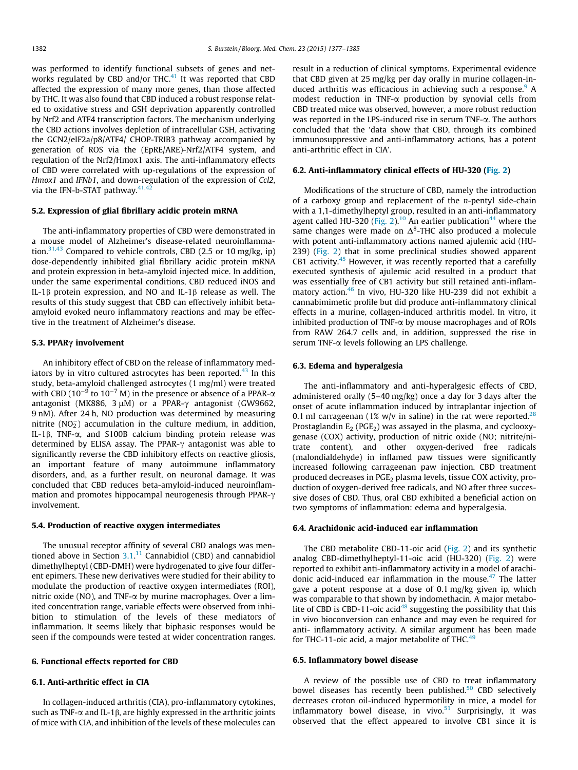<span id="page-5-0"></span>was performed to identify functional subsets of genes and networks regulated by CBD and/or THC $^{41}$  $^{41}$  $^{41}$  It was reported that CBD affected the expression of many more genes, than those affected by THC. It was also found that CBD induced a robust response related to oxidative stress and GSH deprivation apparently controlled by Nrf2 and ATF4 transcription factors. The mechanism underlying the CBD actions involves depletion of intracellular GSH, activating the GCN2/eIF2a/p8/ATF4/ CHOP-TRIB3 pathway accompanied by generation of ROS via the (EpRE/ARE)-Nrf2/ATF4 system, and regulation of the Nrf2/Hmox1 axis. The anti-inflammatory effects of CBD were correlated with up-regulations of the expression of Hmox1 and IFNb1, and down-regulation of the expression of Ccl2, via the IFN-b-STAT pathway. $41,42$ 

#### 5.2. Expression of glial fibrillary acidic protein mRNA

The anti-inflammatory properties of CBD were demonstrated in a mouse model of Alzheimer's disease-related neuroinflamma-tion.<sup>[31,43](#page-8-0)</sup> Compared to vehicle controls, CBD (2.5 or 10 mg/kg, ip) dose-dependently inhibited glial fibrillary acidic protein mRNA and protein expression in beta-amyloid injected mice. In addition, under the same experimental conditions, CBD reduced iNOS and IL-1 $\beta$  protein expression, and NO and IL-1 $\beta$  release as well. The results of this study suggest that CBD can effectively inhibit betaamyloid evoked neuro inflammatory reactions and may be effective in the treatment of Alzheimer's disease.

#### 5.3. PPAR $\gamma$  involvement

An inhibitory effect of CBD on the release of inflammatory mediators by in vitro cultured astrocytes has been reported.<sup>43</sup> In this study, beta-amyloid challenged astrocytes (1 mg/ml) were treated with CBD (10<sup>-9</sup> to 10<sup>-7</sup> M) in the presence or absence of a PPAR- $\alpha$ antagonist (MK886,  $3 \mu$ M) or a PPAR- $\gamma$  antagonist (GW9662, 9 nM). After 24 h, NO production was determined by measuring nitrite ( $NO<sub>2</sub>$ ) accumulation in the culture medium, in addition, IL-1 $\beta$ , TNF- $\alpha$ , and S100B calcium binding protein release was determined by ELISA assay. The PPAR- $\gamma$  antagonist was able to significantly reverse the CBD inhibitory effects on reactive gliosis, an important feature of many autoimmune inflammatory disorders, and, as a further result, on neuronal damage. It was concluded that CBD reduces beta-amyloid-induced neuroinflammation and promotes hippocampal neurogenesis through PPAR- $\gamma$ involvement.

#### 5.4. Production of reactive oxygen intermediates

The unusual receptor affinity of several CBD analogs was men-tioned above in Section [3.1.](#page-2-0)<sup>[11](#page-8-0)</sup> Cannabidiol (CBD) and cannabidiol dimethylheptyl (CBD-DMH) were hydrogenated to give four different epimers. These new derivatives were studied for their ability to modulate the production of reactive oxygen intermediates (ROI), nitric oxide (NO), and TNF-a by murine macrophages. Over a limited concentration range, variable effects were observed from inhibition to stimulation of the levels of these mediators of inflammation. It seems likely that biphasic responses would be seen if the compounds were tested at wider concentration ranges.

#### 6. Functional effects reported for CBD

#### 6.1. Anti-arthritic effect in CIA

In collagen-induced arthritis (CIA), pro-inflammatory cytokines, such as TNF- $\alpha$  and IL-1 $\beta$ , are highly expressed in the arthritic joints of mice with CIA, and inhibition of the levels of these molecules can result in a reduction of clinical symptoms. Experimental evidence that CBD given at 25 mg/kg per day orally in murine collagen-induced arthritis was efficacious in achieving such a response.<sup>9</sup> A modest reduction in TNF-a production by synovial cells from CBD treated mice was observed, however, a more robust reduction was reported in the LPS-induced rise in serum TNF- $\alpha$ . The authors concluded that the 'data show that CBD, through its combined immunosuppressive and anti-inflammatory actions, has a potent anti-arthritic effect in CIA'.

# 6.2. Anti-inflammatory clinical effects of HU-320 ([Fig. 2\)](#page-2-0)

Modifications of the structure of CBD, namely the introduction of a carboxy group and replacement of the  $n$ -pentyl side-chain with a 1,1-dimethylheptyl group, resulted in an anti-inflammatory agent called HU-320 ([Fig. 2](#page-2-0)).<sup>10</sup> An earlier publication<sup>44</sup> where the same changes were made on  $\Delta^8$ -THC also produced a molecule with potent anti-inflammatory actions named ajulemic acid (HU-239) [\(Fig. 2](#page-2-0)) that in some preclinical studies showed apparent CB1 activity.<sup>[45](#page-8-0)</sup> However, it was recently reported that a carefully executed synthesis of ajulemic acid resulted in a product that was essentially free of CB1 activity but still retained anti-inflam-matory action.<sup>[46](#page-8-0)</sup> In vivo, HU-320 like HU-239 did not exhibit a cannabimimetic profile but did produce anti-inflammatory clinical effects in a murine, collagen-induced arthritis model. In vitro, it inhibited production of TNF- $\alpha$  by mouse macrophages and of ROIs from RAW 264.7 cells and, in addition, suppressed the rise in serum TNF- $\alpha$  levels following an LPS challenge.

#### 6.3. Edema and hyperalgesia

The anti-inflammatory and anti-hyperalgesic effects of CBD, administered orally (5–40 mg/kg) once a day for 3 days after the onset of acute inflammation induced by intraplantar injection of 0.1 ml carrageenan (1% w/v in saline) in the rat were reported.<sup>[28](#page-8-0)</sup> Prostaglandin  $E_2$  (PGE<sub>2</sub>) was assayed in the plasma, and cyclooxygenase (COX) activity, production of nitric oxide (NO; nitrite/nitrate content), and other oxygen-derived free radicals (malondialdehyde) in inflamed paw tissues were significantly increased following carrageenan paw injection. CBD treatment produced decreases in  $PGE<sub>2</sub>$  plasma levels, tissue COX activity, production of oxygen-derived free radicals, and NO after three successive doses of CBD. Thus, oral CBD exhibited a beneficial action on two symptoms of inflammation: edema and hyperalgesia.

#### 6.4. Arachidonic acid-induced ear inflammation

The CBD metabolite CBD-11-oic acid [\(Fig. 2](#page-2-0)) and its synthetic analog CBD-dimethylheptyl-11-oic acid (HU-320) ([Fig. 2](#page-2-0)) were reported to exhibit anti-inflammatory activity in a model of arachi-donic acid-induced ear inflammation in the mouse.<sup>[47](#page-8-0)</sup> The latter gave a potent response at a dose of 0.1 mg/kg given ip, which was comparable to that shown by indomethacin. A major metabolite of CBD is CBD-11-oic acid<sup>48</sup> suggesting the possibility that this in vivo bioconversion can enhance and may even be required for anti- inflammatory activity. A similar argument has been made for THC-11-oic acid, a major metabolite of THC.<sup>49</sup>

# 6.5. Inflammatory bowel disease

A review of the possible use of CBD to treat inflammatory bowel diseases has recently been published.<sup>[50](#page-8-0)</sup> CBD selectively decreases croton oil-induced hypermotility in mice, a model for inflammatory bowel disease, in vivo. $51$  Surprisingly, it was observed that the effect appeared to involve CB1 since it is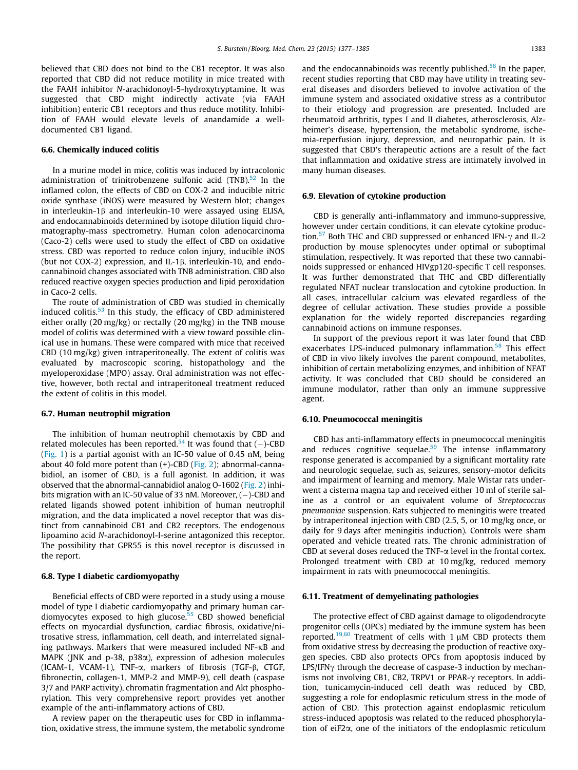believed that CBD does not bind to the CB1 receptor. It was also reported that CBD did not reduce motility in mice treated with the FAAH inhibitor N-arachidonoyl-5-hydroxytryptamine. It was suggested that CBD might indirectly activate (via FAAH inhibition) enteric CB1 receptors and thus reduce motility. Inhibition of FAAH would elevate levels of anandamide a welldocumented CB1 ligand.

#### 6.6. Chemically induced colitis

In a murine model in mice, colitis was induced by intracolonic administration of trinitrobenzene sulfonic acid (TNB).<sup>52</sup> In the inflamed colon, the effects of CBD on COX-2 and inducible nitric oxide synthase (iNOS) were measured by Western blot; changes in interleukin-1 $\beta$  and interleukin-10 were assayed using ELISA, and endocannabinoids determined by isotope dilution liquid chromatography-mass spectrometry. Human colon adenocarcinoma (Caco-2) cells were used to study the effect of CBD on oxidative stress. CBD was reported to reduce colon injury, inducible iNOS (but not COX-2) expression, and IL-1 $\beta$ , interleukin-10, and endocannabinoid changes associated with TNB administration. CBD also reduced reactive oxygen species production and lipid peroxidation in Caco-2 cells.

The route of administration of CBD was studied in chemically induced colitis.[53](#page-8-0) In this study, the efficacy of CBD administered either orally (20 mg/kg) or rectally (20 mg/kg) in the TNB mouse model of colitis was determined with a view toward possible clinical use in humans. These were compared with mice that received CBD (10 mg/kg) given intraperitoneally. The extent of colitis was evaluated by macroscopic scoring, histopathology and the myeloperoxidase (MPO) assay. Oral administration was not effective, however, both rectal and intraperitoneal treatment reduced the extent of colitis in this model.

#### 6.7. Human neutrophil migration

The inhibition of human neutrophil chemotaxis by CBD and related molecules has been reported.<sup>[54](#page-8-0)</sup> It was found that  $(-)$ -CBD ([Fig. 1](#page-1-0)) is a partial agonist with an IC-50 value of 0.45 nM, being about 40 fold more potent than (+)-CBD ([Fig. 2](#page-2-0)); abnormal-cannabidiol, an isomer of CBD, is a full agonist. In addition, it was observed that the abnormal-cannabidiol analog O-1602 ([Fig. 2\)](#page-2-0) inhibits migration with an IC-50 value of 33 nM. Moreover, (-)-CBD and related ligands showed potent inhibition of human neutrophil migration, and the data implicated a novel receptor that was distinct from cannabinoid CB1 and CB2 receptors. The endogenous lipoamino acid N-arachidonoyl-l-serine antagonized this receptor. The possibility that GPR55 is this novel receptor is discussed in the report.

#### 6.8. Type I diabetic cardiomyopathy

Beneficial effects of CBD were reported in a study using a mouse model of type I diabetic cardiomyopathy and primary human car-diomyocytes exposed to high glucose.<sup>[55](#page-8-0)</sup> CBD showed beneficial effects on myocardial dysfunction, cardiac fibrosis, oxidative/nitrosative stress, inflammation, cell death, and interrelated signaling pathways. Markers that were measured included  $NF$ - $\kappa$ B and MAPK (JNK and  $p-38$ ,  $p38\alpha$ ), expression of adhesion molecules (ICAM-1, VCAM-1), TNF-a, markers of fibrosis (TGF-b, CTGF, fibronectin, collagen-1, MMP-2 and MMP-9), cell death (caspase 3/7 and PARP activity), chromatin fragmentation and Akt phosphorylation. This very comprehensive report provides yet another example of the anti-inflammatory actions of CBD.

A review paper on the therapeutic uses for CBD in inflammation, oxidative stress, the immune system, the metabolic syndrome and the endocannabinoids was recently published.<sup>56</sup> In the paper, recent studies reporting that CBD may have utility in treating several diseases and disorders believed to involve activation of the immune system and associated oxidative stress as a contributor to their etiology and progression are presented. Included are rheumatoid arthritis, types I and II diabetes, atherosclerosis, Alzheimer's disease, hypertension, the metabolic syndrome, ischemia-reperfusion injury, depression, and neuropathic pain. It is suggested that CBD's therapeutic actions are a result of the fact that inflammation and oxidative stress are intimately involved in many human diseases.

#### 6.9. Elevation of cytokine production

CBD is generally anti-inflammatory and immuno-suppressive, however under certain conditions, it can elevate cytokine produc-tion.<sup>[57](#page-8-0)</sup> Both THC and CBD suppressed or enhanced IFN- $\gamma$  and IL-2 production by mouse splenocytes under optimal or suboptimal stimulation, respectively. It was reported that these two cannabinoids suppressed or enhanced HIVgp120-specific T cell responses. It was further demonstrated that THC and CBD differentially regulated NFAT nuclear translocation and cytokine production. In all cases, intracellular calcium was elevated regardless of the degree of cellular activation. These studies provide a possible explanation for the widely reported discrepancies regarding cannabinoid actions on immune responses.

In support of the previous report it was later found that CBD exacerbates LPS-induced pulmonary inflammation.<sup>58</sup> This effect of CBD in vivo likely involves the parent compound, metabolites, inhibition of certain metabolizing enzymes, and inhibition of NFAT activity. It was concluded that CBD should be considered an immune modulator, rather than only an immune suppressive agent.

#### 6.10. Pneumococcal meningitis

CBD has anti-inflammatory effects in pneumococcal meningitis and reduces cognitive sequelae.<sup>59</sup> The intense inflammatory response generated is accompanied by a significant mortality rate and neurologic sequelae, such as, seizures, sensory-motor deficits and impairment of learning and memory. Male Wistar rats underwent a cisterna magna tap and received either 10 ml of sterile saline as a control or an equivalent volume of Streptococcus pneumoniae suspension. Rats subjected to meningitis were treated by intraperitoneal injection with CBD (2.5, 5, or 10 mg/kg once, or daily for 9 days after meningitis induction). Controls were sham operated and vehicle treated rats. The chronic administration of CBD at several doses reduced the TNF- $\alpha$  level in the frontal cortex. Prolonged treatment with CBD at 10 mg/kg, reduced memory impairment in rats with pneumococcal meningitis.

#### 6.11. Treatment of demyelinating pathologies

The protective effect of CBD against damage to oligodendrocyte progenitor cells (OPCs) mediated by the immune system has been reported.<sup>19,60</sup> Treatment of cells with 1  $\mu$ M CBD protects them from oxidative stress by decreasing the production of reactive oxygen species. CBD also protects OPCs from apoptosis induced by  $LPS/IFN\gamma$  through the decrease of caspase-3 induction by mechanisms not involving CB1, CB2, TRPV1 or PPAR- $\gamma$  receptors. In addition, tunicamycin-induced cell death was reduced by CBD, suggesting a role for endoplasmic reticulum stress in the mode of action of CBD. This protection against endoplasmic reticulum stress-induced apoptosis was related to the reduced phosphorylation of eiF2a, one of the initiators of the endoplasmic reticulum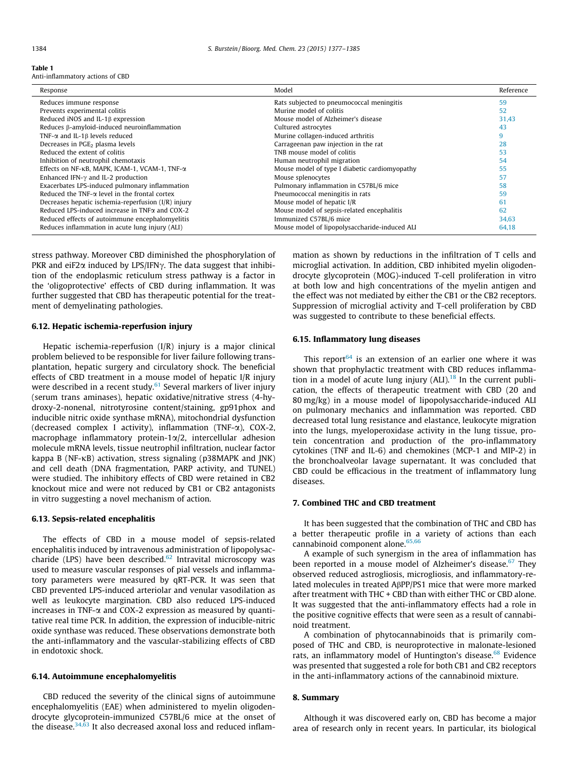<span id="page-7-0"></span>

|--|--|

Anti-inflammatory actions of CBD

| Response                                               | Model                                         | Reference |
|--------------------------------------------------------|-----------------------------------------------|-----------|
| Reduces immune response                                | Rats subjected to pneumococcal meningitis     | 59        |
| Prevents experimental colitis                          | Murine model of colitis                       | 52        |
| Reduced iNOS and IL-1 $\beta$ expression               | Mouse model of Alzheimer's disease            | 31,43     |
| Reduces B-amyloid-induced neuroinflammation            | Cultured astrocytes                           | 43        |
| TNF- $\alpha$ and IL-1 $\beta$ levels reduced          | Murine collagen-induced arthritis             | 9         |
| Decreases in PGE <sub>2</sub> plasma levels            | Carrageenan paw injection in the rat          | 28        |
| Reduced the extent of colitis                          | TNB mouse model of colitis                    | 53        |
| Inhibition of neutrophil chemotaxis                    | Human neutrophil migration                    | 54        |
| Effects on NF-κB, MAPK, ICAM-1, VCAM-1, TNF-α          | Mouse model of type I diabetic cardiomyopathy | 55        |
| Enhanced IFN- $\gamma$ and IL-2 production             | Mouse splenocytes                             | 57        |
| Exacerbates LPS-induced pulmonary inflammation         | Pulmonary inflammation in C57BL/6 mice        | 58        |
| Reduced the TNF- $\alpha$ level in the frontal cortex  | Pneumococcal meningitis in rats               | 59        |
| Decreases hepatic ischemia-reperfusion $(I/R)$ injury  | Mouse model of hepatic I/R                    | 61        |
| Reduced LPS-induced increase in TNF $\alpha$ and COX-2 | Mouse model of sepsis-related encephalitis    | 62        |
| Reduced effects of autoimmune encephalomyelitis        | Immunized C57BL/6 mice                        | 34.63     |
| Reduces inflammation in acute lung injury (ALI)        | Mouse model of lipopolysaccharide-induced ALI | 64.18     |

stress pathway. Moreover CBD diminished the phosphorylation of PKR and eiF2 $\alpha$  induced by LPS/IFN $\gamma$ . The data suggest that inhibition of the endoplasmic reticulum stress pathway is a factor in the 'oligoprotective' effects of CBD during inflammation. It was further suggested that CBD has therapeutic potential for the treatment of demyelinating pathologies.

# 6.12. Hepatic ischemia-reperfusion injury

Hepatic ischemia-reperfusion (I/R) injury is a major clinical problem believed to be responsible for liver failure following transplantation, hepatic surgery and circulatory shock. The beneficial effects of CBD treatment in a mouse model of hepatic I/R injury were described in a recent study. $61$  Several markers of liver injury (serum trans aminases), hepatic oxidative/nitrative stress (4-hydroxy-2-nonenal, nitrotyrosine content/staining, gp91phox and inducible nitric oxide synthase mRNA), mitochondrial dysfunction (decreased complex I activity), inflammation (TNF- $\alpha$ ), COX-2, macrophage inflammatory protein-1a/2, intercellular adhesion molecule mRNA levels, tissue neutrophil infiltration, nuclear factor kappa B ( $NF-KB$ ) activation, stress signaling (p38MAPK and JNK) and cell death (DNA fragmentation, PARP activity, and TUNEL) were studied. The inhibitory effects of CBD were retained in CB2 knockout mice and were not reduced by CB1 or CB2 antagonists in vitro suggesting a novel mechanism of action.

#### 6.13. Sepsis-related encephalitis

The effects of CBD in a mouse model of sepsis-related encephalitis induced by intravenous administration of lipopolysaccharide (LPS) have been described. $62$  Intravital microscopy was used to measure vascular responses of pial vessels and inflammatory parameters were measured by qRT-PCR. It was seen that CBD prevented LPS-induced arteriolar and venular vasodilation as well as leukocyte margination. CBD also reduced LPS-induced increases in TNF- $\alpha$  and COX-2 expression as measured by quantitative real time PCR. In addition, the expression of inducible-nitric oxide synthase was reduced. These observations demonstrate both the anti-inflammatory and the vascular-stabilizing effects of CBD in endotoxic shock.

#### 6.14. Autoimmune encephalomyelitis

CBD reduced the severity of the clinical signs of autoimmune encephalomyelitis (EAE) when administered to myelin oligodendrocyte glycoprotein-immunized C57BL/6 mice at the onset of the disease.<sup>34,63</sup> It also decreased axonal loss and reduced inflammation as shown by reductions in the infiltration of T cells and microglial activation. In addition, CBD inhibited myelin oligodendrocyte glycoprotein (MOG)-induced T-cell proliferation in vitro at both low and high concentrations of the myelin antigen and the effect was not mediated by either the CB1 or the CB2 receptors. Suppression of microglial activity and T-cell proliferation by CBD was suggested to contribute to these beneficial effects.

# 6.15. Inflammatory lung diseases

This report<sup>64</sup> is an extension of an earlier one where it was shown that prophylactic treatment with CBD reduces inflammation in a model of acute lung injury  $(ALI)$ .<sup>18</sup> In the current publication, the effects of therapeutic treatment with CBD (20 and 80 mg/kg) in a mouse model of lipopolysaccharide-induced ALI on pulmonary mechanics and inflammation was reported. CBD decreased total lung resistance and elastance, leukocyte migration into the lungs, myeloperoxidase activity in the lung tissue, protein concentration and production of the pro-inflammatory cytokines (TNF and IL-6) and chemokines (MCP-1 and MIP-2) in the bronchoalveolar lavage supernatant. It was concluded that CBD could be efficacious in the treatment of inflammatory lung diseases.

# 7. Combined THC and CBD treatment

It has been suggested that the combination of THC and CBD has a better therapeutic profile in a variety of actions than each cannabinoid component alone.[65,66](#page-8-0)

A example of such synergism in the area of inflammation has been reported in a mouse model of Alzheimer's disease.<sup>[67](#page-8-0)</sup> They observed reduced astrogliosis, microgliosis, and inflammatory-related molecules in treated AbPP/PS1 mice that were more marked after treatment with THC + CBD than with either THC or CBD alone. It was suggested that the anti-inflammatory effects had a role in the positive cognitive effects that were seen as a result of cannabinoid treatment.

A combination of phytocannabinoids that is primarily composed of THC and CBD, is neuroprotective in malonate-lesioned rats, an inflammatory model of Huntington's disease.<sup>[68](#page-8-0)</sup> Evidence was presented that suggested a role for both CB1 and CB2 receptors in the anti-inflammatory actions of the cannabinoid mixture.

# 8. Summary

Although it was discovered early on, CBD has become a major area of research only in recent years. In particular, its biological